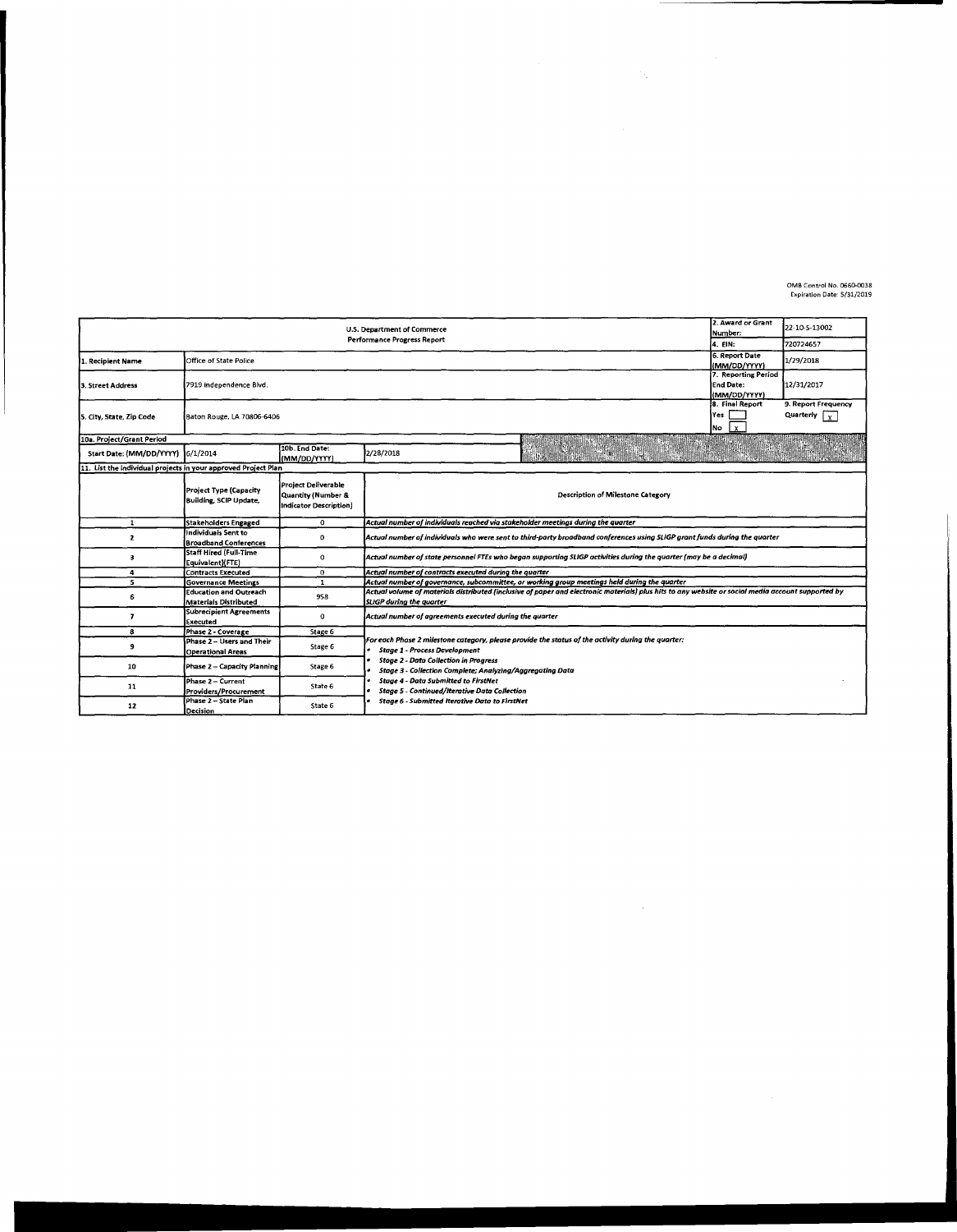0MB Control No. 0660-0038 Expiration Date: 5/31/2019

|                                                                | 2. Award or Grant<br>Number:                                  | 22-10-S-13002                                                              |                                                                                                                                                                                       |  |  |  |  |  |  |
|----------------------------------------------------------------|---------------------------------------------------------------|----------------------------------------------------------------------------|---------------------------------------------------------------------------------------------------------------------------------------------------------------------------------------|--|--|--|--|--|--|
|                                                                | 4. EIN:                                                       | 720724657                                                                  |                                                                                                                                                                                       |  |  |  |  |  |  |
| 1. Recipient Name                                              | Office of State Police                                        | 6. Report Date<br>(MM/DD/YYYY)                                             | 1/29/2018                                                                                                                                                                             |  |  |  |  |  |  |
| 3. Street Address                                              | 7919 Independence Blvd.                                       | 7. Reporting Period<br><b>End Date:</b><br>(MM/DD/YYYY)                    | 12/31/2017                                                                                                                                                                            |  |  |  |  |  |  |
| 5. City, State, Zip Code                                       | Baton Rouge, LA 70806-6406                                    | 8. Final Report<br>Yes<br><b>No</b><br>$\mathbf{x}$                        | 9. Report Frequency<br>Quarterly $\begin{bmatrix} 1 \\ 2 \end{bmatrix}$                                                                                                               |  |  |  |  |  |  |
| 10a. Project/Grant Period                                      |                                                               |                                                                            |                                                                                                                                                                                       |  |  |  |  |  |  |
| Start Date: (MM/DD/YYYY) 6/1/2014                              |                                                               | 10b. End Date:<br>(MM/DD/YYYY)                                             | 2/28/2018                                                                                                                                                                             |  |  |  |  |  |  |
| 11. List the individual projects in your approved Project Plan |                                                               |                                                                            |                                                                                                                                                                                       |  |  |  |  |  |  |
|                                                                | Project Type (Capacity<br>Building, SCIP Update,              | <b>Project Deliverable</b><br>Quantity (Number &<br>Indicator Description) | <b>Description of Milestone Category</b>                                                                                                                                              |  |  |  |  |  |  |
| $\mathbf{1}$                                                   | Stakeholders Engaged                                          | 0                                                                          | Actual number of individuals reached via stakeholder meetings during the quarter                                                                                                      |  |  |  |  |  |  |
| 2                                                              | Individuals Sent to<br><b>Broadband Conferences</b>           | 0                                                                          | Actual number of individuals who were sent to third-party broadband conferences using SLIGP grant funds during the quarter                                                            |  |  |  |  |  |  |
| 3                                                              | Staff Hired (Full-Time<br>Equivalent)(FTE)                    | $\Omega$                                                                   | Actual number of state personnel FTEs who began supporting SLIGP activities during the quarter (may be a decimal)                                                                     |  |  |  |  |  |  |
| 4                                                              | Contracts Executed                                            | 0                                                                          | Actual number of contracts executed during the quarter                                                                                                                                |  |  |  |  |  |  |
| 5                                                              | <b>Governance Meetings</b>                                    | 1                                                                          | Actual number of governance, subcommittee, or working group meetings held during the quarter                                                                                          |  |  |  |  |  |  |
| 6                                                              | <b>Education and Outreach</b><br><b>Materials Distributed</b> | 958                                                                        | Actual volume of materials distributed (inclusive of paper and electronic materials) plus hits to any website or social media account supported by<br><b>SLIGP</b> during the quarter |  |  |  |  |  |  |
| 7                                                              | <b>Subrecipient Agreements</b><br>Executed                    | 0                                                                          | Actual number of agreements executed during the quarter                                                                                                                               |  |  |  |  |  |  |
| 8                                                              | Phase 2 - Coverage                                            | Stage 6                                                                    |                                                                                                                                                                                       |  |  |  |  |  |  |
| 9                                                              | Phase 2 - Users and Their<br><b>Operational Areas</b>         | Stage 6                                                                    | For each Phase 2 milestone category, please provide the status of the activity during the quarter:<br><b>Stage 1 - Process Development</b>                                            |  |  |  |  |  |  |
| 10                                                             | Phase 2 - Capacity Planning                                   | Stage 6                                                                    | <b>Stage 2 - Data Collection in Progress</b><br><b>Stage 3 - Collection Complete; Analyzing/Aggregating Data</b>                                                                      |  |  |  |  |  |  |
| 11                                                             | Phase 2 - Current<br>Providers/Procurement                    | State 6                                                                    | <b>Stage 4 - Data Supmitted to FirstNet</b><br><b>Stage 5 - Continued/Iterative Data Collection</b>                                                                                   |  |  |  |  |  |  |
| 12                                                             | Phase 2 - State Plan<br>Decision                              | State 6                                                                    | <b>Stage 6 - Submitted Iterative Data to FirstNet</b>                                                                                                                                 |  |  |  |  |  |  |

 $\label{eq:2.1} \begin{split} \mathcal{L}_{\text{max}}(\mathcal{L}_{\text{max}}) = \mathcal{L}_{\text{max}}(\mathcal{L}_{\text{max}}) \,, \end{split}$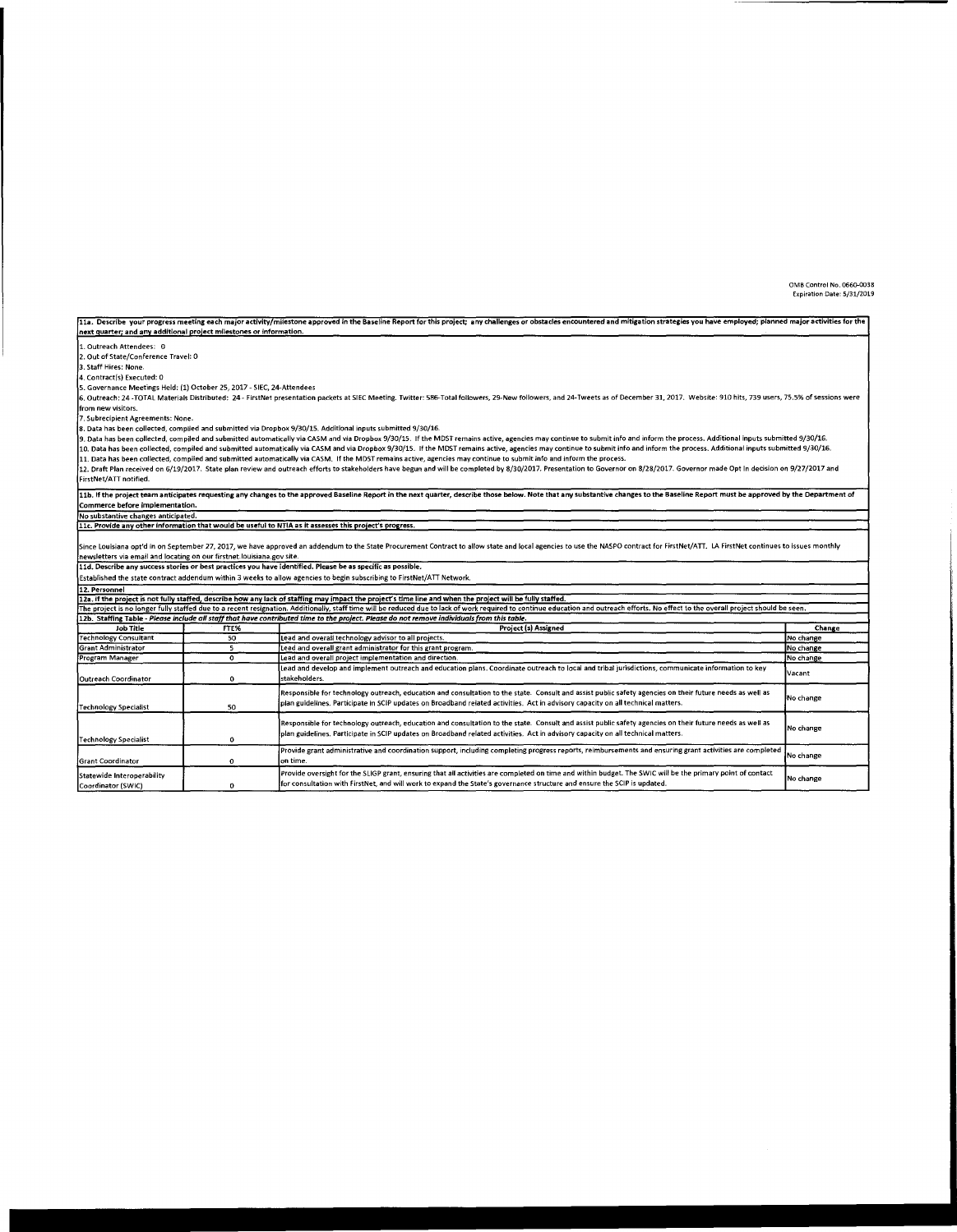0MB Control No. 0660-0038 Expiration Date: 5/31/2019

11a. Describe your progress meeting each major activity/milestone approved in the Baseline Report for this project; any challenges or obstacles encountered and mitigation strategies you have employed; planned major activit next quarter; and any additional project milestones or information. 1. Outreach Attendees: O 2. Out of State/Conference Travel: 0 3. Staff Hires: None. 4. Contract(s) Executed: 0 S. Governance Meetings Held: (1) October 25, 2017 - SIEC, 24-Attendees .<br>6. Outreach: 24 -TOTAL Materials Distributed: 24 - FirstNet presentation packets at SIEC Meeting. Twitter: 586-Total followers. 29 New followers, and 24-Tweets as of December 31, 2017. Website: 910 hits, 739 users, 75.5% from new visitors. 7. Subrecipient Agreements: None. Data has been collected, compiled and submitted via Dropbox 9/30/15. Additional inputs submitted 9/30/16. or comparison contracted, compiled and submitted automatically via CASM and via Dropbox 9/30/15. If the MDST remains active, agencies may continue to submit info and inform the process. Additional inputs submitted 9/30/16. 10. Data has been collected, compiled and submitted automatically via CASM and via Dropbox 9/30/15. If the MDST remains active, agencies may continue to submit info and inform the process. Additional inputs submitted 9/30/ 12. Draft Plan received on 6/19/2017. State plan review and outreach efforts to stakeholders have begun and will be completed by 8/30/2017. Presentation to Governor on 8/28/2017. Oovernor made Opt In decision on 9/27/2017 FirstNet/ATT notified. 11b. If the project team anticipates requesting any changes to the approved Baseline Report in the next quarter, describe those below. Note that any substantive changes to the Baseline Report must be approved by the Depart Commerce before implementation. No substantive changes anticipated. 11c. Provide any other information that would be useful to NTIA as it assesses this project's progress. nce Louisiana opt'd in on September 27, 2017, we have approved an addendum to the State Procurement Contract to allow state and local agencies to use the NASPO contract for FirstNet/ATT. LA FirstNet continues to issues mon newsletters via email and locating on our firstnet.louisiana.gov site.<br>11d. Describe any success stories or best practices you have identified. Please be as specific as possible. Established the state contract addendum within 3 weeks to allow agencies to begin subscribing to FirstNet/ATT Network. 12. Personnel 12a. If the project is not fully staffed, describe how any lack of staffing may impact the project's time line and when the project will be fully staffed. he project is no longer fully staffed due to a recent resignation. Additionally, staff time will be reduced due to lack of work required to continue education and outreach efforts. No effect to the overall project should b 12b. Staffing Table - *Please include all staff that have contributed time to the project. Please do not remove individuals from this table.<br>Job Title FTE% FTE% Project (s) Assigned Change* Technology Consultant 50 Lead and overall technology advisor to all projects. Grant Administrator Lead and overall grant administrator for this grant program. No change Program Manager  $\overline{\mathfrak{o}}$ Lead and overall project implementation and direction. No change Lead and develop and implement outreach and education plans. Coordinate outreach to local and tribal jurisdictions, communicate information to key Vacant Outreach Coordinator  $\mathbf{o}$ stakeholders. Responsible for technology outreach, education and consultation to the state. Consult and assist public safety agencies on their future needs as well as<br>plan guidelines. Participate in SCIP updates on Broadband related ac No change Technology Specialist 50 Responsible for technology outreach, education and consultation to the state. Consult and assist public safety agencies on their future needs as well as No change plan guidelines. Participate in SCIP updates on Broadband related activities. Act in advisory capacity on all technical matters. Technology Specialist  $\mathbf{o}$ Provide grant administrative and coordination support, including completing progress reports, reimbursements and ensuring grant activities are completed No change Grant Coordinator  $\Omega$ on time. Provide oversight for the SLIGP grant, ensuring that all activities are completed on time and within budget. The SWIC will be the primary point of contact Statewide Interoperability frovide oversignt for the SLIGP grant, ensuring that all activities are completed on time and ensure the SCIP is updated. No change the SCIP is updated.

Coordinator (SWIC)

 $\mathbf{o}$